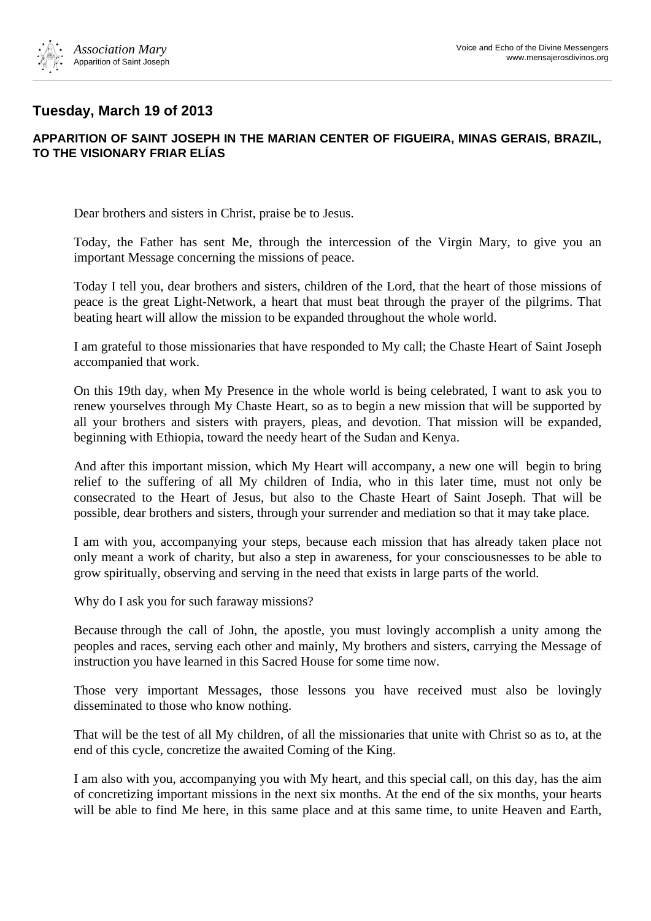

## **Tuesday, March 19 of 2013**

## **APPARITION OF SAINT JOSEPH IN THE MARIAN CENTER OF FIGUEIRA, MINAS GERAIS, BRAZIL, TO THE VISIONARY FRIAR ELÍAS**

Dear brothers and sisters in Christ, praise be to Jesus.

Today, the Father has sent Me, through the intercession of the Virgin Mary, to give you an important Message concerning the missions of peace.

Today I tell you, dear brothers and sisters, children of the Lord, that the heart of those missions of peace is the great Light-Network, a heart that must beat through the prayer of the pilgrims. That beating heart will allow the mission to be expanded throughout the whole world.

I am grateful to those missionaries that have responded to My call; the Chaste Heart of Saint Joseph accompanied that work.

On this 19th day, when My Presence in the whole world is being celebrated, I want to ask you to renew yourselves through My Chaste Heart, so as to begin a new mission that will be supported by all your brothers and sisters with prayers, pleas, and devotion. That mission will be expanded, beginning with Ethiopia, toward the needy heart of the Sudan and Kenya.

And after this important mission, which My Heart will accompany, a new one will begin to bring relief to the suffering of all My children of India, who in this later time, must not only be consecrated to the Heart of Jesus, but also to the Chaste Heart of Saint Joseph. That will be possible, dear brothers and sisters, through your surrender and mediation so that it may take place.

I am with you, accompanying your steps, because each mission that has already taken place not only meant a work of charity, but also a step in awareness, for your consciousnesses to be able to grow spiritually, observing and serving in the need that exists in large parts of the world.

Why do I ask you for such faraway missions?

Because through the call of John, the apostle, you must lovingly accomplish a unity among the peoples and races, serving each other and mainly, My brothers and sisters, carrying the Message of instruction you have learned in this Sacred House for some time now.

Those very important Messages, those lessons you have received must also be lovingly disseminated to those who know nothing.

That will be the test of all My children, of all the missionaries that unite with Christ so as to, at the end of this cycle, concretize the awaited Coming of the King.

I am also with you, accompanying you with My heart, and this special call, on this day, has the aim of concretizing important missions in the next six months. At the end of the six months, your hearts will be able to find Me here, in this same place and at this same time, to unite Heaven and Earth,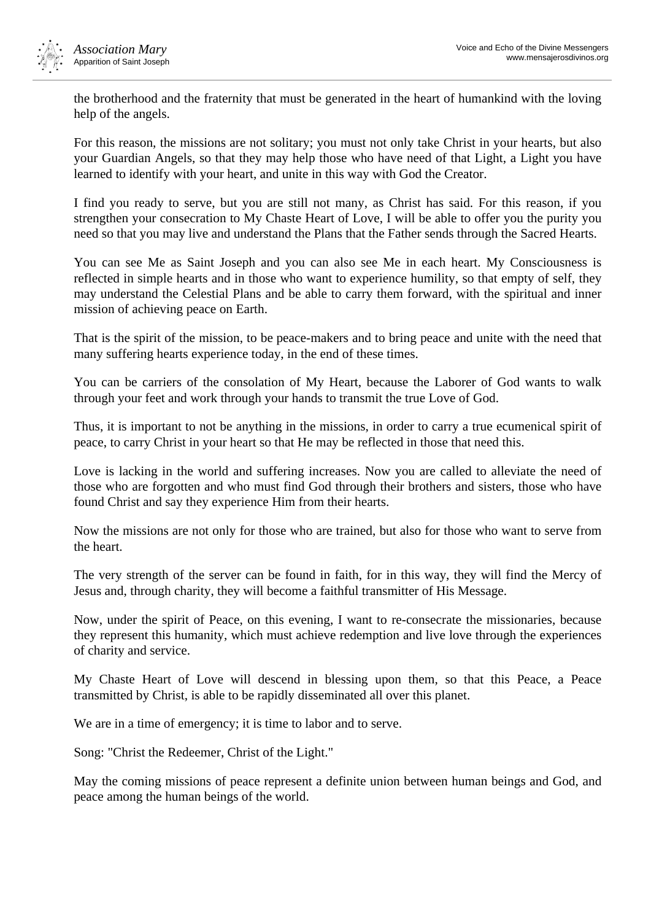

the brotherhood and the fraternity that must be generated in the heart of humankind with the loving help of the angels.

For this reason, the missions are not solitary; you must not only take Christ in your hearts, but also your Guardian Angels, so that they may help those who have need of that Light, a Light you have learned to identify with your heart, and unite in this way with God the Creator.

I find you ready to serve, but you are still not many, as Christ has said. For this reason, if you strengthen your consecration to My Chaste Heart of Love, I will be able to offer you the purity you need so that you may live and understand the Plans that the Father sends through the Sacred Hearts.

You can see Me as Saint Joseph and you can also see Me in each heart. My Consciousness is reflected in simple hearts and in those who want to experience humility, so that empty of self, they may understand the Celestial Plans and be able to carry them forward, with the spiritual and inner mission of achieving peace on Earth.

That is the spirit of the mission, to be peace-makers and to bring peace and unite with the need that many suffering hearts experience today, in the end of these times.

You can be carriers of the consolation of My Heart, because the Laborer of God wants to walk through your feet and work through your hands to transmit the true Love of God.

Thus, it is important to not be anything in the missions, in order to carry a true ecumenical spirit of peace, to carry Christ in your heart so that He may be reflected in those that need this.

Love is lacking in the world and suffering increases. Now you are called to alleviate the need of those who are forgotten and who must find God through their brothers and sisters, those who have found Christ and say they experience Him from their hearts.

Now the missions are not only for those who are trained, but also for those who want to serve from the heart.

The very strength of the server can be found in faith, for in this way, they will find the Mercy of Jesus and, through charity, they will become a faithful transmitter of His Message.

Now, under the spirit of Peace, on this evening, I want to re-consecrate the missionaries, because they represent this humanity, which must achieve redemption and live love through the experiences of charity and service.

My Chaste Heart of Love will descend in blessing upon them, so that this Peace, a Peace transmitted by Christ, is able to be rapidly disseminated all over this planet.

We are in a time of emergency; it is time to labor and to serve.

Song: "Christ the Redeemer, Christ of the Light."

May the coming missions of peace represent a definite union between human beings and God, and peace among the human beings of the world.